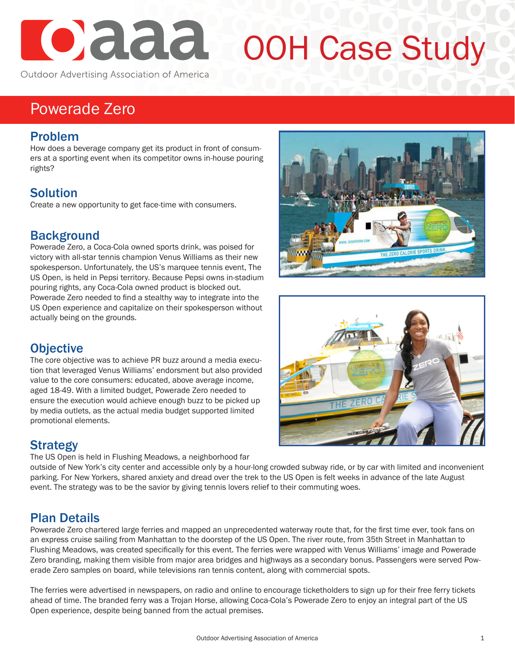# Cada

## OOH Case Study

Outdoor Advertising Association of America

### Powerade Zero

#### Problem

How does a beverage company get its product in front of consumers at a sporting event when its competitor owns in-house pouring rights?

#### **Solution**

Create a new opportunity to get face-time with consumers.

#### **Background**

Powerade Zero, a Coca-Cola owned sports drink, was poised for victory with all-star tennis champion Venus Williams as their new spokesperson. Unfortunately, the US's marquee tennis event, The US Open, is held in Pepsi territory. Because Pepsi owns in-stadium pouring rights, any Coca-Cola owned product is blocked out. Powerade Zero needed to find a stealthy way to integrate into the US Open experience and capitalize on their spokesperson without actually being on the grounds.

#### **Objective**

The core objective was to achieve PR buzz around a media execution that leveraged Venus Williams' endorsment but also provided value to the core consumers: educated, above average income, aged 18-49. With a limited budget, Powerade Zero needed to ensure the execution would achieve enough buzz to be picked up by media outlets, as the actual media budget supported limited promotional elements.

#### Strategy

The US Open is held in Flushing Meadows, a neighborhood far

outside of New York's city center and accessible only by a hour-long crowded subway ride, or by car with limited and inconvenient parking. For New Yorkers, shared anxiety and dread over the trek to the US Open is felt weeks in advance of the late August event. The strategy was to be the savior by giving tennis lovers relief to their commuting woes.

#### Plan Details

Powerade Zero chartered large ferries and mapped an unprecedented waterway route that, for the first time ever, took fans on an express cruise sailing from Manhattan to the doorstep of the US Open. The river route, from 35th Street in Manhattan to Flushing Meadows, was created specifically for this event. The ferries were wrapped with Venus Williams' image and Powerade Zero branding, making them visible from major area bridges and highways as a secondary bonus. Passengers were served Powerade Zero samples on board, while televisions ran tennis content, along with commercial spots.

The ferries were advertised in newspapers, on radio and online to encourage ticketholders to sign up for their free ferry tickets ahead of time. The branded ferry was a Trojan Horse, allowing Coca-Cola's Powerade Zero to enjoy an integral part of the US Open experience, despite being banned from the actual premises.